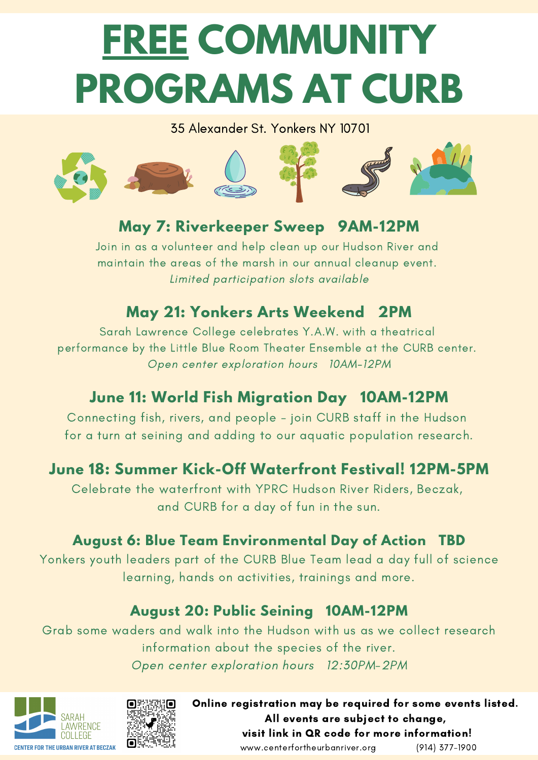# **FREE COMMUNITY PROGRAMS AT CURB**

#### 35 Alexander St. Yonkers NY 10701



## **May 7: Riverkeeper Sweep 9AM-12PM**

Join in as a volunteer and help clean up our Hudson River and maintain the areas of the marsh in our annual cleanup event. Limited participation slots available

## **May 21: Yonkers Arts Weekend 2PM**

Sarah Lawrence College celebrates Y.A.W. with a theatrical performance by the Little Blue Room Theater Ensemble at the CURB center. Open center exploration hours 10AM-12PM

## **June 11: World Fish Migration Day 10AM-12PM**

Connecting fish, rivers, and people - join CURB staff in the Hudson for a turn at seining and adding to our aquatic population research.

### **June 18: Summer Kick-Off Waterfront Festival! 12PM-5PM**

Celebrate the waterfront with YPRC Hudson River Riders, Beczak, and CURB for a day of fun in the sun.

#### **August 6: Blue Team Environmental Day of Action TBD**

Yonkers youth leaders part of the CURB Blue Team lead a day full of science learning, hands on activities, trainings and more.

#### **August 20: Public Seining 10AM-12PM**

Grab some waders and walk into the Hudson with us as we collect research information about the species of the river. Open center exploration hours 12:30PM-2PM





Online registration may be required for some events listed. All events are subject to change, visit link in QR code for more information! www.centerfortheurbanriver.org (914) 377-1900